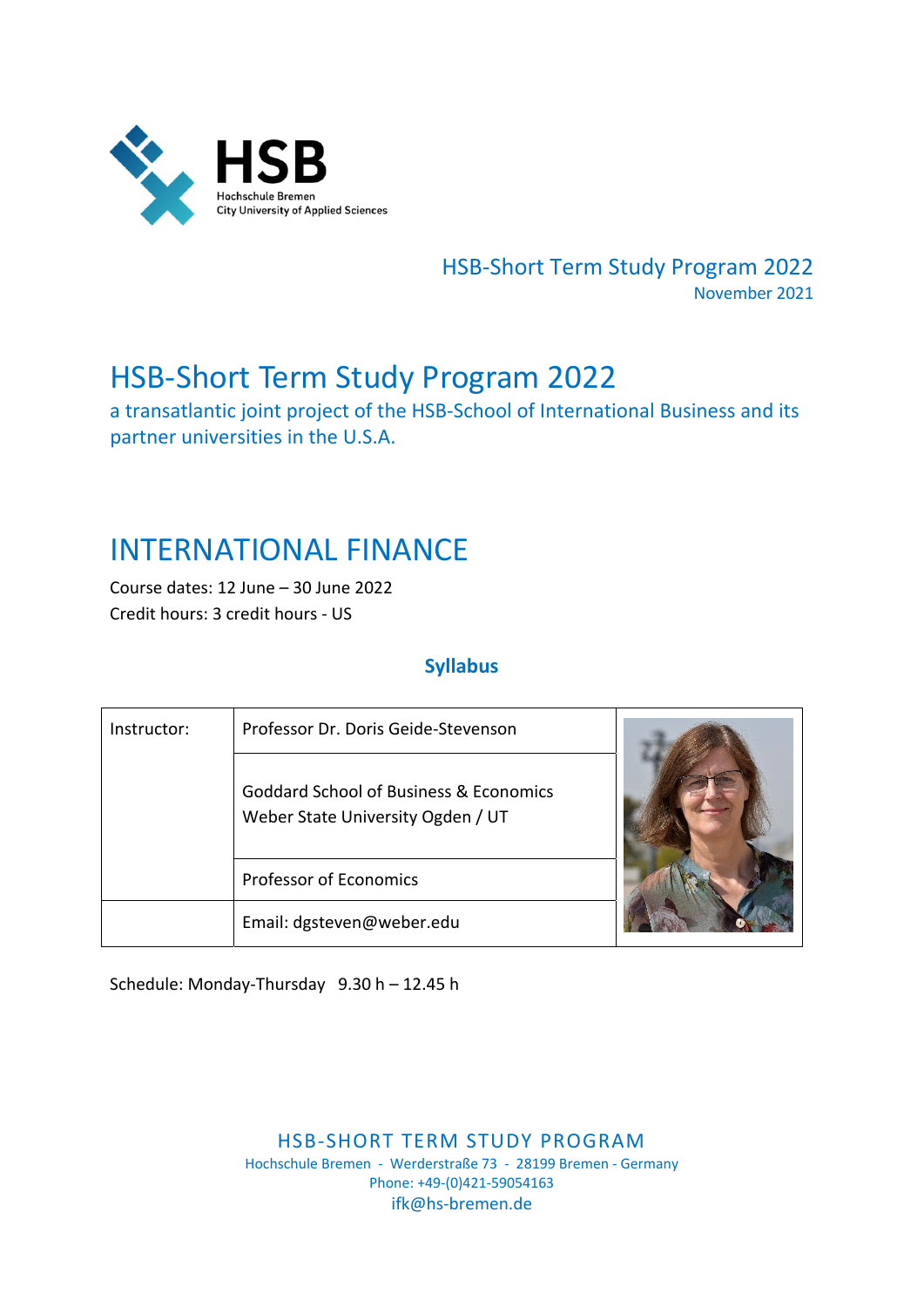

HSB‐Short Term Study Program 2022 November 2021

# HSB‐Short Term Study Program 2022

a transatlantic joint project of the HSB‐School of International Business and its partner universities in the U.S.A.

# INTERNATIONAL FINANCE

Course dates: 12 June – 30 June 2022 Credit hours: 3 credit hours ‐ US

## **Syllabus**

| Instructor: | Professor Dr. Doris Geide-Stevenson                                         |  |  |  |
|-------------|-----------------------------------------------------------------------------|--|--|--|
|             | Goddard School of Business & Economics<br>Weber State University Ogden / UT |  |  |  |
|             | <b>Professor of Economics</b>                                               |  |  |  |
|             | Email: dgsteven@weber.edu                                                   |  |  |  |

Schedule: Monday‐Thursday 9.30 h – 12.45 h

HSB‐SHORT TERM STUDY PROGRAM Hochschule Bremen ‐ Werderstraße 73 ‐ 28199 Bremen ‐ Germany Phone: +49‐(0)421‐59054163 ifk@hs‐bremen.de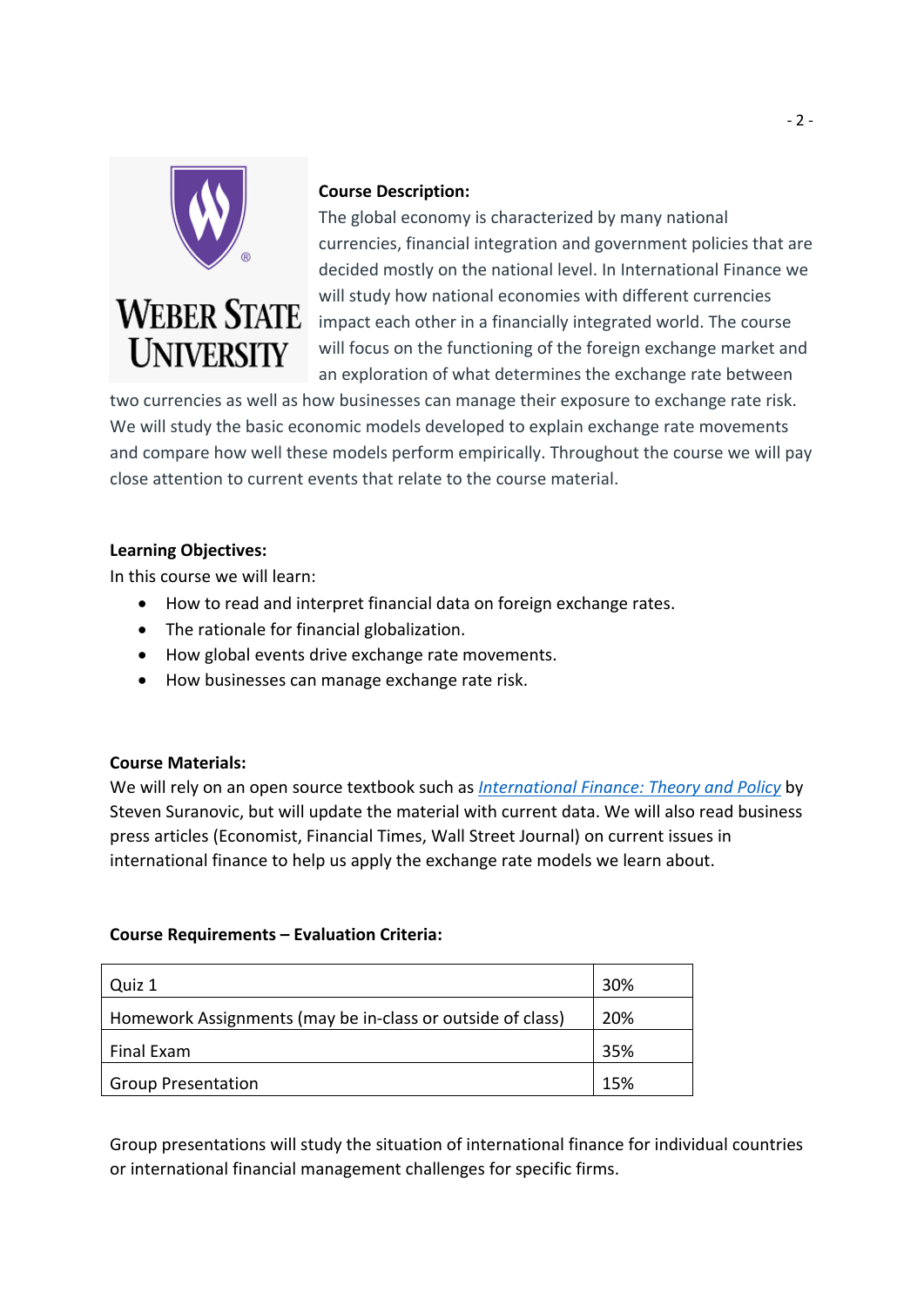

#### **Course Description:**

The global economy is characterized by many national currencies, financial integration and government policies that are decided mostly on the national level. In International Finance we will study how national economies with different currencies impact each other in a financially integrated world. The course will focus on the functioning of the foreign exchange market and an exploration of what determines the exchange rate between

two currencies as well as how businesses can manage their exposure to exchange rate risk. We will study the basic economic models developed to explain exchange rate movements and compare how well these models perform empirically. Throughout the course we will pay close attention to current events that relate to the course material.

#### **Learning Objectives:**

In this course we will learn:

- How to read and interpret financial data on foreign exchange rates.
- The rationale for financial globalization.
- How global events drive exchange rate movements.
- How businesses can manage exchange rate risk.

#### **Course Materials:**

We will rely on an open source textbook such as *International Finance: Theory and Policy* by Steven Suranovic, but will update the material with current data. We will also read business press articles (Economist, Financial Times, Wall Street Journal) on current issues in international finance to help us apply the exchange rate models we learn about.

#### **Course Requirements – Evaluation Criteria:**

| Quiz 1                                                     | 30% |
|------------------------------------------------------------|-----|
| Homework Assignments (may be in-class or outside of class) | 20% |
| Final Exam                                                 | 35% |
| <b>Group Presentation</b>                                  | 15% |

Group presentations will study the situation of international finance for individual countries or international financial management challenges for specific firms.